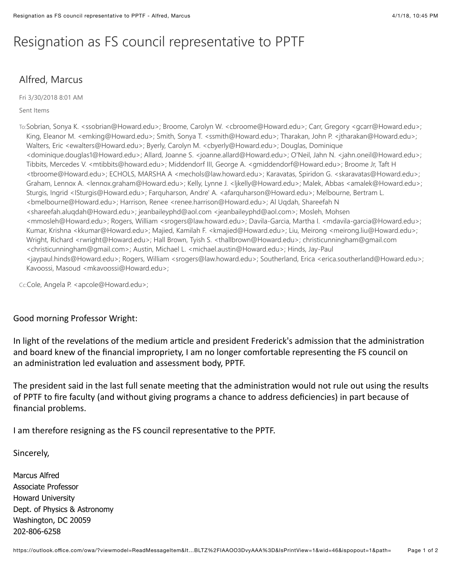## Resignation as FS council representative to PPTF

## Alfred, Marcus

Fri 3/30/2018 8:01 AM

## Sent Items

To:Sobrian, Sonya K. <ssobrian@Howard.edu>; Broome, Carolyn W. <cbroome@Howard.edu>; Carr, Gregory <gcarr@Howard.edu>; King, Eleanor M. <emking@Howard.edu>; Smith, Sonya T. <ssmith@Howard.edu>; Tharakan, John P. <jtharakan@Howard.edu>; Walters, Eric <ewalters@Howard.edu>; Byerly, Carolyn M. <cbyerly@Howard.edu>; Douglas, Dominique <dominique.douglas1@Howard.edu>; Allard, Joanne S. <joanne.allard@Howard.edu>; O'Neil, Jahn N. <jahn.oneil@Howard.edu>; Tibbits, Mercedes V. <mtibbits@howard.edu>; Middendorf III, George A. <gmiddendorf@Howard.edu>; Broome Jr, Taft H <tbroome@Howard.edu>; ECHOLS, MARSHA A <mechols@law.howard.edu>; Karavatas, Spiridon G. <skaravatas@Howard.edu>; Graham, Lennox A. <lennox.graham@Howard.edu>; Kelly, Lynne J. <ljkelly@Howard.edu>; Malek, Abbas <amalek@Howard.edu>; Sturgis, Ingrid <ISturgis@Howard.edu>; Farquharson, Andre' A. <afarquharson@Howard.edu>; Melbourne, Bertram L. <bmelbourne@Howard.edu>; Harrison, Renee <renee.harrison@Howard.edu>; Al Ugdah, Shareefah N <shareefah.aluqdah@Howard.edu>; jeanbaileyphd@aol.com <jeanbaileyphd@aol.com>; Mosleh, Mohsen <mmosleh@Howard.edu>; Rogers, William <srogers@law.howard.edu>; Davila-Garcia, Martha I. <mdavila-garcia@Howard.edu>; Kumar, Krishna <kkumar@Howard.edu>; Majied, Kamilah F. <kmajied@Howard.edu>; Liu, Meirong <meirong.liu@Howard.edu>; Wright, Richard <rwright@Howard.edu>; Hall Brown, Tyish S. <thallbrown@Howard.edu>; christicunningham@gmail.com <christicunningham@qmail.com>; Austin, Michael L. <michael.austin@Howard.edu>; Hinds, Jay-Paul <jaypaul.hinds@Howard.edu>; Rogers, William <srogers@law.howard.edu>; Southerland, Erica <erica.southerland@Howard.edu>; Kavoossi, Masoud <mkavoossi@Howard.edu>;

Cc:Cole, Angela P. <apcole@Howard.edu>;

## Good morning Professor Wright:

In light of the revelations of the medium article and president Frederick's admission that the administration and board knew of the financial impropriety, I am no longer comfortable representing the FS council on an administration led evaluation and assessment body, PPTF.

The president said in the last full senate meeting that the administration would not rule out using the results of PPTF to fire faculty (and without giving programs a chance to address deficiencies) in part because of financial problems.

I am therefore resigning as the FS council representative to the PPTF.

Sincerely,

**Marcus Alfred Associate Professor Howard University** Dept. of Physics & Astronomy Washington, DC 20059 202-806-6258